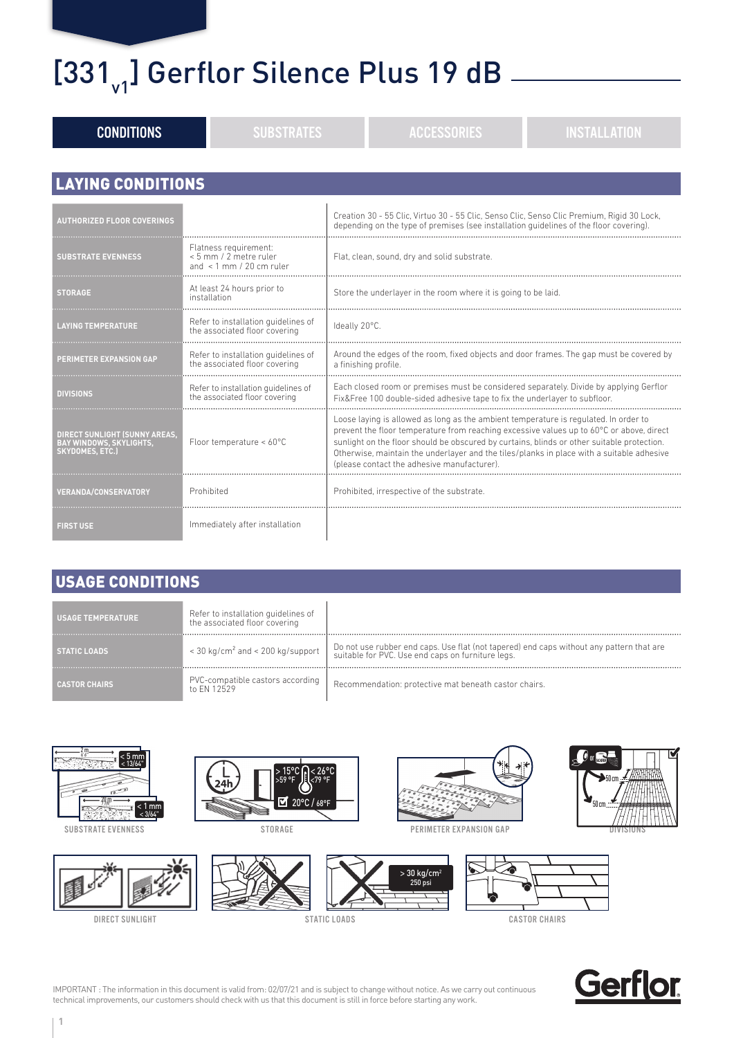#### $[331]$ <sup>1</sup> Gerflor Silence Plus 19 dB

| <b>CONDITIONS</b>                                                                         | <b>SUBSTRATES</b>                                                              | <b>INSTALLATION</b><br><b>ACCESSORIES</b>                                                                                                                                                                                                                                                                                                                                                                                 |  |  |
|-------------------------------------------------------------------------------------------|--------------------------------------------------------------------------------|---------------------------------------------------------------------------------------------------------------------------------------------------------------------------------------------------------------------------------------------------------------------------------------------------------------------------------------------------------------------------------------------------------------------------|--|--|
| <b>LAYING CONDITIONS</b>                                                                  |                                                                                |                                                                                                                                                                                                                                                                                                                                                                                                                           |  |  |
| <b>AUTHORIZED FLOOR COVERINGS</b>                                                         |                                                                                | Creation 30 - 55 Clic, Virtuo 30 - 55 Clic, Senso Clic, Senso Clic Premium, Rigid 30 Lock,<br>depending on the type of premises (see installation guidelines of the floor covering).                                                                                                                                                                                                                                      |  |  |
| <b>SUBSTRATE EVENNESS</b>                                                                 | Flatness requirement:<br>< 5 mm / 2 metre ruler<br>and $\,$ 1 mm / 20 cm ruler | Flat, clean, sound, dry and solid substrate.                                                                                                                                                                                                                                                                                                                                                                              |  |  |
| <b>STORAGE</b>                                                                            | At least 24 hours prior to<br>installation                                     | Store the underlayer in the room where it is going to be laid.                                                                                                                                                                                                                                                                                                                                                            |  |  |
| <b>LAYING TEMPERATURE</b>                                                                 | Refer to installation quidelines of<br>the associated floor covering           | Ideally 20°C.                                                                                                                                                                                                                                                                                                                                                                                                             |  |  |
| PERIMETER EXPANSION GAP                                                                   | Refer to installation quidelines of<br>the associated floor covering           | Around the edges of the room, fixed objects and door frames. The gap must be covered by<br>a finishing profile                                                                                                                                                                                                                                                                                                            |  |  |
| <b>DIVISIONS</b>                                                                          | Refer to installation quidelines of<br>the associated floor covering           | Each closed room or premises must be considered separately. Divide by applying Gerflor<br>Fix&Free 100 double-sided adhesive tape to fix the underlayer to subfloor.                                                                                                                                                                                                                                                      |  |  |
| DIRECT SUNLIGHT (SUNNY AREAS,<br><b>BAY WINDOWS, SKYLIGHTS,</b><br><b>SKYDOMES, ETC.)</b> | Floor temperature < 60°C                                                       | Loose laying is allowed as long as the ambient temperature is regulated. In order to<br>prevent the floor temperature from reaching excessive values up to 60°C or above, direct<br>sunlight on the floor should be obscured by curtains, blinds or other suitable protection.<br>Otherwise, maintain the underlayer and the tiles/planks in place with a suitable adhesive<br>(please contact the adhesive manufacturer) |  |  |
| <b>VERANDA/CONSERVATORY</b>                                                               | Prohibited                                                                     | Prohibited, irrespective of the substrate.                                                                                                                                                                                                                                                                                                                                                                                |  |  |
| <b>FIRST USE</b>                                                                          | Immediately after installation                                                 |                                                                                                                                                                                                                                                                                                                                                                                                                           |  |  |

#### USAGE CONDITIONS

| <b>USAGE TEMPERATURE</b> | Refer to installation guidelines of<br>the associated floor covering |                                                                                                                                                                                           |
|--------------------------|----------------------------------------------------------------------|-------------------------------------------------------------------------------------------------------------------------------------------------------------------------------------------|
| <b>STATIC LOADS</b>      |                                                                      | < 30 kg/cm <sup>2</sup> and < 200 kg/support   Do not use rubber end caps. Use flat (not tapered) end caps without any pattern that are suitable for PVC. Use end caps on furniture legs. |
|                          | PVC-compatible castors according<br>to FN 12529                      | Recommendation: protective mat beneath castor chairs.                                                                                                                                     |



SUBSTRATE EVENNESS



DIRECT SUNLIGHT







**>** 30 kg/cm2 250 psi







STATIC LOADS CASTOR CHAIRS



IMPORTANT : The information in this document is valid from: 02/07/21 and is subject to change without notice. As we carry out continuous technical improvements, our customers should check with us that this document is still in force before starting any work.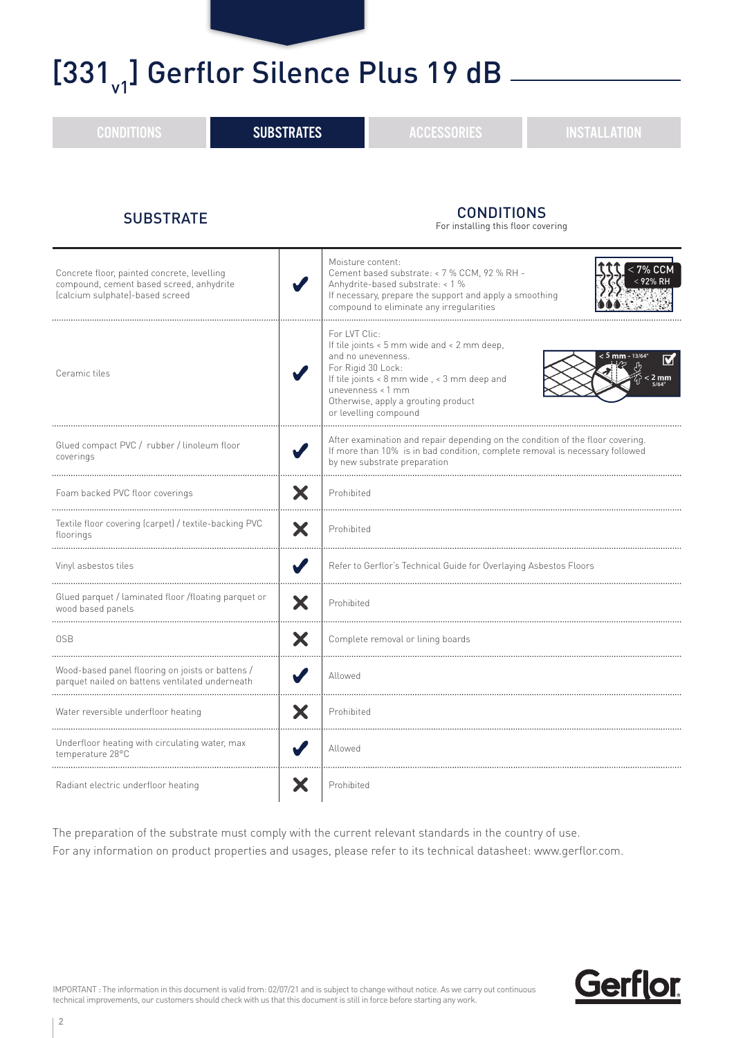#### $[331]$ <sup>1</sup> Gerflor Silence Plus 19 dB

| <b>CONDITIONS</b>                                                                                                          | <b>SUBSTRATES</b>    | <b>ACCESSORIES</b>                                                                                                                                                                                                                           | <b>INSTALLATION</b>                                      |  |
|----------------------------------------------------------------------------------------------------------------------------|----------------------|----------------------------------------------------------------------------------------------------------------------------------------------------------------------------------------------------------------------------------------------|----------------------------------------------------------|--|
| <b>SUBSTRATE</b>                                                                                                           |                      | <b>CONDITIONS</b><br>For installing this floor covering                                                                                                                                                                                      |                                                          |  |
| Concrete floor, painted concrete, levelling<br>compound, cement based screed, anhydrite<br>(calcium sulphate)-based screed |                      | Moisture content:<br>Cement based substrate: < 7 % CCM, 92 % RH -<br>Anhydrite-based substrate: < 1 %<br>If necessary, prepare the support and apply a smoothing<br>compound to eliminate any irregularities<br>                             | $<$ 7% CCM                                               |  |
| Ceramic tiles                                                                                                              |                      | For LVT Clic:<br>If tile joints < 5 mm wide and < 2 mm deep,<br>and no unevenness.<br>For Rigid 30 Lock:<br>If tile joints < 8 mm wide, < 3 mm deep and<br>unevenness < 1 mm<br>Otherwise, apply a grouting product<br>or levelling compound | $< 5$ mm - 13/64'<br>$\overline{\mathbf{v}}$<br>$< 2$ mm |  |
| Glued compact PVC / rubber / linoleum floor<br>coverings                                                                   |                      | After examination and repair depending on the condition of the floor covering.<br>If more than 10% is in bad condition, complete removal is necessary followed<br>by new substrate preparation                                               |                                                          |  |
| Foam backed PVC floor coverings                                                                                            |                      | Prohibited                                                                                                                                                                                                                                   |                                                          |  |
| Textile floor covering (carpet) / textile-backing PVC<br>floorings                                                         | X                    | Prohibited                                                                                                                                                                                                                                   |                                                          |  |
| $\blacktriangledown$<br>Vinyl asbestos tiles                                                                               |                      | Refer to Gerflor's Technical Guide for Overlaying Asbestos Floors                                                                                                                                                                            |                                                          |  |
| Glued parquet / laminated floor /floating parquet or<br>X<br>wood based panels                                             |                      | Prohibited                                                                                                                                                                                                                                   |                                                          |  |
| Х<br>0SB                                                                                                                   |                      | Complete removal or lining boards                                                                                                                                                                                                            |                                                          |  |
| Wood-based panel flooring on joists or battens /<br>parquet nailed on battens ventilated underneath                        |                      | Allowed                                                                                                                                                                                                                                      |                                                          |  |
| Water reversible underfloor heating                                                                                        | X                    | Prohibited                                                                                                                                                                                                                                   |                                                          |  |
| Underfloor heating with circulating water, max<br>temperature 28°C                                                         | $\blacktriangledown$ | Allowed                                                                                                                                                                                                                                      |                                                          |  |
| X<br>Radiant electric underfloor heating                                                                                   |                      | Prohibited                                                                                                                                                                                                                                   |                                                          |  |

The preparation of the substrate must comply with the current relevant standards in the country of use. For any information on product properties and usages, please refer to its technical datasheet: www.gerflor.com.



IMPORTANT : The information in this document is valid from: 02/07/21 and is subject to change without notice. As we carry out continuous technical improvements, our customers should check with us that this document is still in force before starting any work.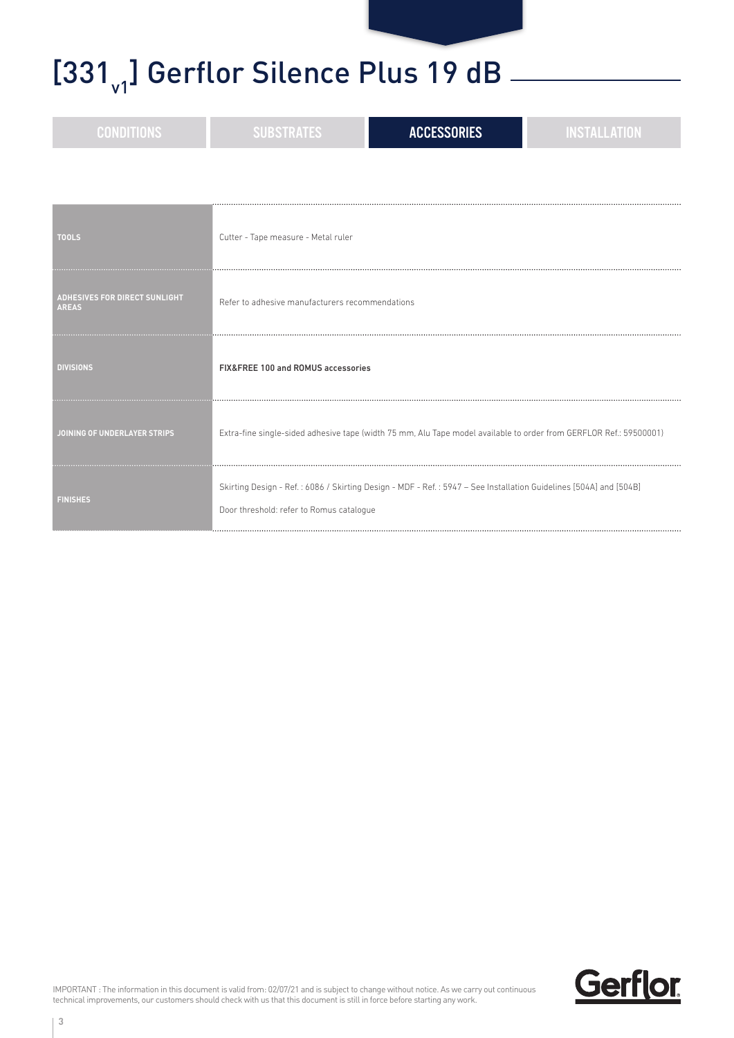## [331 $_{\rm v1}$ ] Gerflor Silence Plus 19 dB  $_{\rm -}$

| <b>CONDITIONS</b>                                    | <b>SUBSTRATES</b>                               | <b>ACCESSORIES</b>                                                                                                 | <b>INSTALLATION</b> |
|------------------------------------------------------|-------------------------------------------------|--------------------------------------------------------------------------------------------------------------------|---------------------|
|                                                      |                                                 |                                                                                                                    |                     |
| <b>TOOLS</b>                                         | Cutter - Tape measure - Metal ruler             |                                                                                                                    |                     |
| <b>ADHESIVES FOR DIRECT SUNLIGHT</b><br><b>AREAS</b> | Refer to adhesive manufacturers recommendations |                                                                                                                    |                     |
| <b>DIVISIONS</b>                                     | FIX&FREE 100 and ROMUS accessories              |                                                                                                                    |                     |
| JOINING OF UNDERLAYER STRIPS                         |                                                 | Extra-fine single-sided adhesive tape (width 75 mm, Alu Tape model available to order from GERFLOR Ref.: 59500001) |                     |
| <b>FINISHES</b>                                      | Door threshold: refer to Romus catalogue        | Skirting Design - Ref.: 6086 / Skirting Design - MDF - Ref.: 5947 - See Installation Guidelines [504A] and [504B]  |                     |

IMPORTANT : The information in this document is valid from: 02/07/21 and is subject to change without notice. As we carry out continuous technical improvements, our customers should check with us that this document is still in force before starting any work.

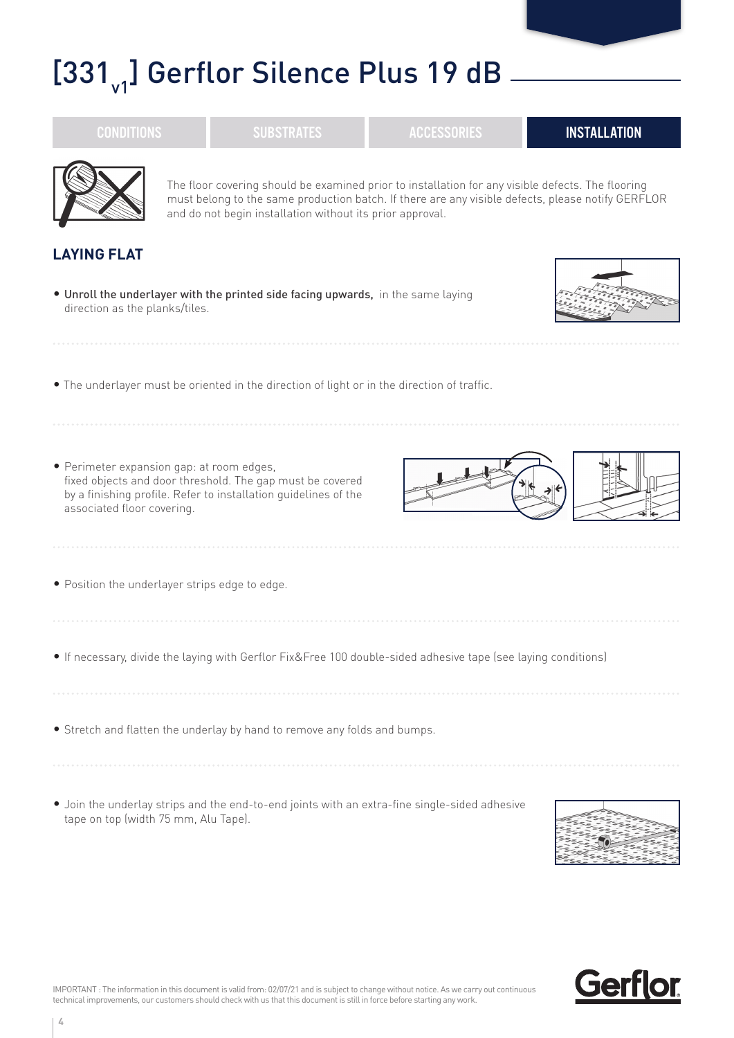## $[331]$ <sup>1</sup> Gerflor Silence Plus 19 dB

|                                                                                                                                                                                                         | The floor covering should be examined prior to installation for any visible defects. The flooring<br>must belong to the same production batch. If there are any visible defects, please notify GERFLOR<br>and do not begin installation without its prior approval. |  |  |  |
|---------------------------------------------------------------------------------------------------------------------------------------------------------------------------------------------------------|---------------------------------------------------------------------------------------------------------------------------------------------------------------------------------------------------------------------------------------------------------------------|--|--|--|
| <b>LAYING FLAT</b>                                                                                                                                                                                      |                                                                                                                                                                                                                                                                     |  |  |  |
| . Unroll the underlayer with the printed side facing upwards, in the same laying<br>direction as the planks/tiles.                                                                                      |                                                                                                                                                                                                                                                                     |  |  |  |
| . The underlayer must be oriented in the direction of light or in the direction of traffic.                                                                                                             |                                                                                                                                                                                                                                                                     |  |  |  |
| · Perimeter expansion gap: at room edges,<br>fixed objects and door threshold. The gap must be covered<br>by a finishing profile. Refer to installation quidelines of the<br>associated floor covering. |                                                                                                                                                                                                                                                                     |  |  |  |
| • Position the underlayer strips edge to edge.                                                                                                                                                          |                                                                                                                                                                                                                                                                     |  |  |  |
| • If necessary, divide the laying with Gerflor Fix&Free 100 double-sided adhesive tape (see laying conditions)                                                                                          |                                                                                                                                                                                                                                                                     |  |  |  |
| • Stretch and flatten the underlay by hand to remove any folds and bumps.                                                                                                                               |                                                                                                                                                                                                                                                                     |  |  |  |
| • Join the underlay strips and the end-to-end joints with an extra-fine single-sided adhesive                                                                                                           |                                                                                                                                                                                                                                                                     |  |  |  |

CONDITIONS RUBSTRATES ACCESSORIES INSTALLATION





tape on top (width 75 mm, Alu Tape).